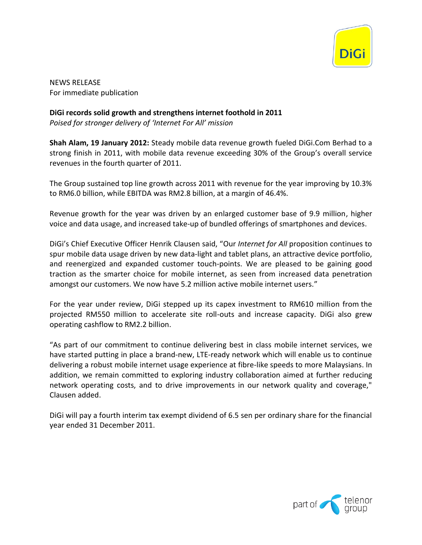

NEWS RELEASE For immediate publication

**DiGi records solid growth and strengthens internet foothold in 2011**

*Poised for stronger delivery of 'Internet For All' mission*

**Shah Alam, 19 January 2012:** Steady mobile data revenue growth fueled DiGi.Com Berhad to a strong finish in 2011, with mobile data revenue exceeding 30% of the Group's overall service revenues in the fourth quarter of 2011.

The Group sustained top line growth across 2011 with revenue for the year improving by 10.3% to RM6.0 billion, while EBITDA was RM2.8 billion, at a margin of 46.4%.

Revenue growth for the year was driven by an enlarged customer base of 9.9 million, higher voice and data usage, and increased take-up of bundled offerings of smartphones and devices.

DiGi's Chief Executive Officer Henrik Clausen said, "Our *Internet for All* proposition continues to spur mobile data usage driven by new data-light and tablet plans, an attractive device portfolio, and reenergized and expanded customer touch-points. We are pleased to be gaining good traction as the smarter choice for mobile internet, as seen from increased data penetration amongst our customers. We now have 5.2 million active mobile internet users."

For the year under review, DiGi stepped up its capex investment to RM610 million from the projected RM550 million to accelerate site roll-outs and increase capacity. DiGi also grew operating cashflow to RM2.2 billion.

"As part of our commitment to continue delivering best in class mobile internet services, we have started putting in place a brand-new, LTE-ready network which will enable us to continue delivering a robust mobile internet usage experience at fibre-like speeds to more Malaysians. In addition, we remain committed to exploring industry collaboration aimed at further reducing network operating costs, and to drive improvements in our network quality and coverage," Clausen added.

DiGi will pay a fourth interim tax exempt dividend of 6.5 sen per ordinary share for the financial year ended 31 December 2011.